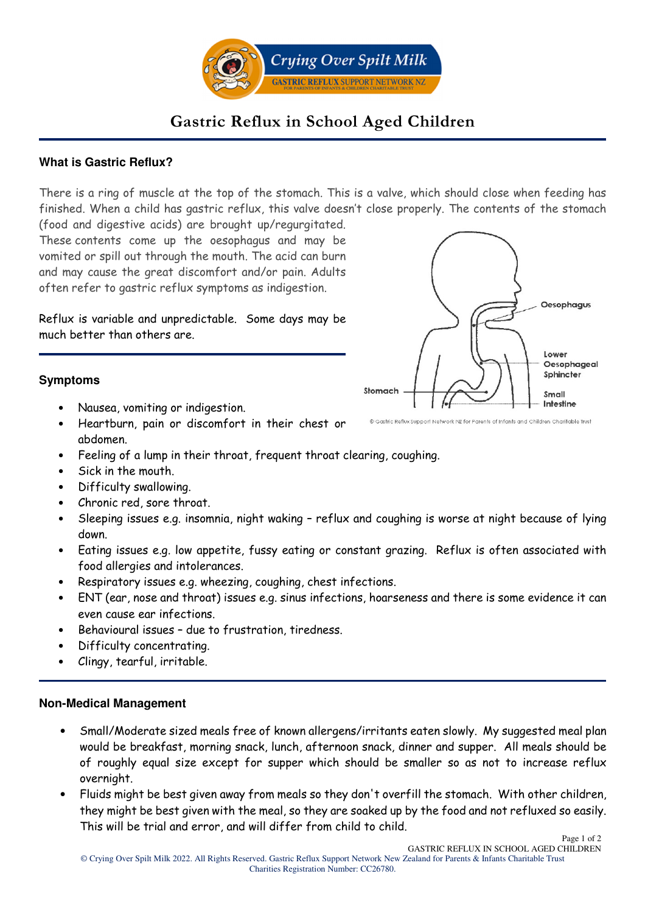

# **Gastric Reflux in School Aged Children**

## **What is Gastric Reflux?**

There is a ring of muscle at the top of the stomach. This is a valve, which should close when feeding has finished. When a child has gastric reflux, this valve doesn't close properly. The contents of the stomach (food and digestive acids) are brought up/regurgitated.

These contents come up the oesophagus and may be vomited or spill out through the mouth. The acid can burn and may cause the great discomfort and/or pain. Adults often refer to gastric reflux symptoms as indigestion.

Reflux is variable and unpredictable. Some days may be much better than others are.



### **Symptoms**

- Nausea, vomiting or indigestion.
- Heartburn, pain or discomfort in their chest or abdomen.
- Feeling of a lump in their throat, frequent throat clearing, coughing.
- Sick in the mouth.
- Difficulty swallowing.
- Chronic red, sore throat.
- Sleeping issues e.g. insomnia, night waking reflux and coughing is worse at night because of lying down.
- Eating issues e.g. low appetite, fussy eating or constant grazing. Reflux is often associated with food allergies and intolerances.
- Respiratory issues e.g. wheezing, coughing, chest infections.
- ENT (ear, nose and throat) issues e.g. sinus infections, hoarseness and there is some evidence it can even cause ear infections.
- Behavioural issues due to frustration, tiredness.
- Difficulty concentrating.
- Clingy, tearful, irritable.

## **Non-Medical Management**

- Small/Moderate sized meals free of known allergens/irritants eaten slowly. My suggested meal plan would be breakfast, morning snack, lunch, afternoon snack, dinner and supper. All meals should be of roughly equal size except for supper which should be smaller so as not to increase reflux overnight.
- Fluids might be best given away from meals so they don't overfill the stomach. With other children, they might be best given with the meal, so they are soaked up by the food and not refluxed so easily. This will be trial and error, and will differ from child to child.

Page 1 of 2 GASTRIC REFLUX IN SCHOOL AGED CHILDREN

<sup>©</sup> Gastric Reflux Support Network NZ for Parents of Infants and Children Charitable Trust